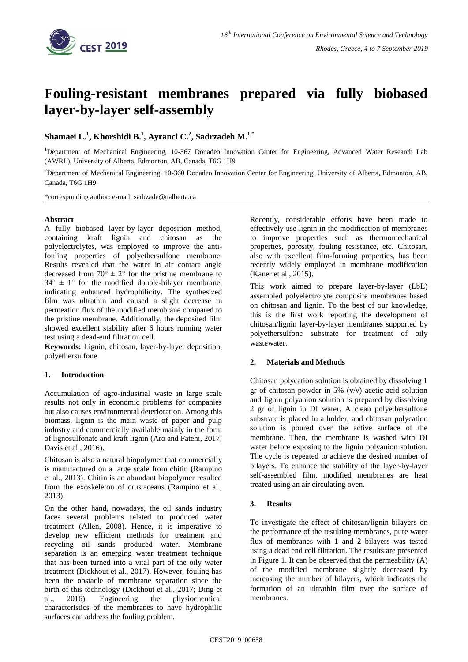

# **Fouling-resistant membranes prepared via fully biobased layer-by-layer self-assembly**

## **Shamaei L.<sup>1</sup> , Khorshidi B.<sup>1</sup> , Ayranci C.<sup>2</sup> , Sadrzadeh M.1,\***

<sup>1</sup>Department of Mechanical Engineering, 10-367 Donadeo Innovation Center for Engineering, Advanced Water Research Lab (AWRL), University of Alberta, Edmonton, AB, Canada, T6G 1H9

<sup>2</sup>Department of Mechanical Engineering, 10-360 Donadeo Innovation Center for Engineering, University of Alberta, Edmonton, AB, Canada, T6G 1H9

\*corresponding author: e-mail: sadrzade@ualberta.ca

#### **Abstract**

A fully biobased layer-by-layer deposition method, containing kraft lignin and chitosan as the polyelectrolytes, was employed to improve the antifouling properties of polyethersulfone membrane. Results revealed that the water in air contact angle decreased from  $70^{\circ} \pm 2^{\circ}$  for the pristine membrane to  $34^{\circ} \pm 1^{\circ}$  for the modified double-bilayer membrane, indicating enhanced hydrophilicity. The synthesized film was ultrathin and caused a slight decrease in permeation flux of the modified membrane compared to the pristine membrane. Additionally, the deposited film showed excellent stability after 6 hours running water test using a dead-end filtration cell.

**Keywords:** Lignin, chitosan, layer-by-layer deposition, polyethersulfone

### **1. Introduction**

Accumulation of agro-industrial waste in large scale results not only in economic problems for companies but also causes environmental deterioration. Among this biomass, lignin is the main waste of paper and pulp industry and commercially available mainly in the form of lignosulfonate and kraft lignin (Aro and Fatehi, 2017; Davis et al., 2016).

Chitosan is also a natural biopolymer that commercially is manufactured on a large scale from chitin (Rampino et al., 2013). Chitin is an abundant biopolymer resulted from the exoskeleton of crustaceans (Rampino et al., 2013).

On the other hand, nowadays, the oil sands industry faces several problems related to produced water treatment (Allen, 2008). Hence, it is imperative to develop new efficient methods for treatment and recycling oil sands produced water. Membrane separation is an emerging water treatment technique that has been turned into a vital part of the oily water treatment (Dickhout et al., 2017). However, fouling has been the obstacle of membrane separation since the birth of this technology (Dickhout et al., 2017; Ding et al., 2016). Engineering the physiochemical characteristics of the membranes to have hydrophilic surfaces can address the fouling problem.

Recently, considerable efforts have been made to effectively use lignin in the modification of membranes to improve properties such as thermomechanical properties, porosity, fouling resistance, etc. Chitosan, also with excellent film-forming properties, has been recently widely employed in membrane modification (Kaner et al., 2015).

This work aimed to prepare layer-by-layer (LbL) assembled polyelectrolyte composite membranes based on chitosan and lignin. To the best of our knowledge, this is the first work reporting the development of chitosan/lignin layer-by-layer membranes supported by polyethersulfone substrate for treatment of oily wastewater.

### **2. Materials and Methods**

Chitosan polycation solution is obtained by dissolving 1 gr of chitosan powder in 5% (v/v) acetic acid solution and lignin polyanion solution is prepared by dissolving 2 gr of lignin in DI water. A clean polyethersulfone substrate is placed in a holder, and chitosan polycation solution is poured over the active surface of the membrane. Then, the membrane is washed with DI water before exposing to the lignin polyanion solution. The cycle is repeated to achieve the desired number of bilayers. To enhance the stability of the layer-by-layer self-assembled film, modified membranes are heat treated using an air circulating oven.

### **3. Results**

To investigate the effect of chitosan/lignin bilayers on the performance of the resulting membranes, pure water flux of membranes with 1 and 2 bilayers was tested using a dead end cell filtration. The results are presented in Figure 1. It can be observed that the permeability (A) of the modified membrane slightly decreased by increasing the number of bilayers, which indicates the formation of an ultrathin film over the surface of membranes.